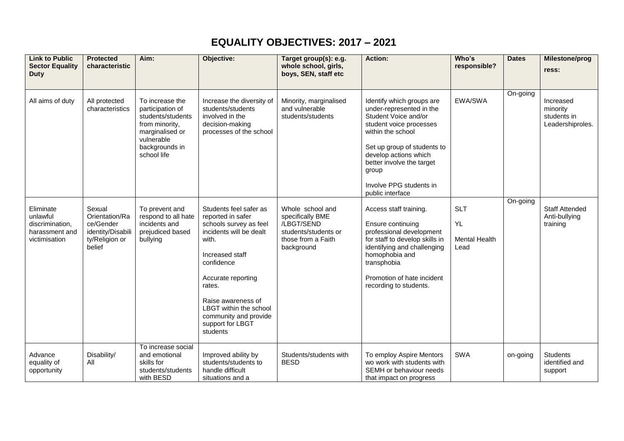## **EQUALITY OBJECTIVES: 2017 – 2021**

| <b>Link to Public</b><br><b>Sector Equality</b><br><b>Duty</b>              | <b>Protected</b><br>characteristic                                                     | Aim:                                                                                                                                         | Objective:                                                                                                                                                                                                                                                                          | Target group(s): e.g.<br>whole school, girls,<br>boys, SEN, staff etc                                          | <b>Action:</b>                                                                                                                                                                                                                                                             | Who's<br>responsible?                            | <b>Dates</b> | Milestone/prog<br>ress:                                  |
|-----------------------------------------------------------------------------|----------------------------------------------------------------------------------------|----------------------------------------------------------------------------------------------------------------------------------------------|-------------------------------------------------------------------------------------------------------------------------------------------------------------------------------------------------------------------------------------------------------------------------------------|----------------------------------------------------------------------------------------------------------------|----------------------------------------------------------------------------------------------------------------------------------------------------------------------------------------------------------------------------------------------------------------------------|--------------------------------------------------|--------------|----------------------------------------------------------|
| All aims of duty                                                            | All protected<br>characteristics                                                       | To increase the<br>participation of<br>students/students<br>from minority,<br>marginalised or<br>vulnerable<br>backgrounds in<br>school life | Increase the diversity of<br>students/students<br>involved in the<br>decision-making<br>processes of the school                                                                                                                                                                     | Minority, marginalised<br>and vulnerable<br>students/students                                                  | Identify which groups are<br>under-represented in the<br>Student Voice and/or<br>student voice processes<br>within the school<br>Set up group of students to<br>develop actions which<br>better involve the target<br>group<br>Involve PPG students in<br>public interface | EWA/SWA                                          | On-going     | Increased<br>minority<br>students in<br>Leadershiproles. |
| Eliminate<br>unlawful<br>discrimination,<br>harassment and<br>victimisation | Sexual<br>Orientation/Ra<br>ce/Gender<br>identity/Disabili<br>ty/Religion or<br>belief | To prevent and<br>respond to all hate<br>incidents and<br>prejudiced based<br>bullying                                                       | Students feel safer as<br>reported in safer<br>schools survey as feel<br>incidents will be dealt<br>with.<br>Increased staff<br>confidence<br>Accurate reporting<br>rates.<br>Raise awareness of<br>LBGT within the school<br>community and provide<br>support for LBGT<br>students | Whole school and<br>specifically BME<br>/LBGT/SEND<br>students/students or<br>those from a Faith<br>background | Access staff training.<br>Ensure continuing<br>professional development<br>for staff to develop skills in<br>identifying and challenging<br>homophobia and<br>transphobia<br>Promotion of hate incident<br>recording to students.                                          | <b>SLT</b><br>YL<br><b>Mental Health</b><br>Lead | On-going     | <b>Staff Attended</b><br>Anti-bullying<br>training       |
| Advance<br>equality of<br>opportunity                                       | Disability/<br>All                                                                     | To increase social<br>and emotional<br>skills for<br>students/students<br>with BESD                                                          | Improved ability by<br>students/students to<br>handle difficult<br>situations and a                                                                                                                                                                                                 | Students/students with<br><b>BESD</b>                                                                          | To employ Aspire Mentors<br>wo work with students with<br>SEMH or behaviour needs<br>that impact on progress                                                                                                                                                               | <b>SWA</b>                                       | on-going     | <b>Students</b><br>identified and<br>support             |